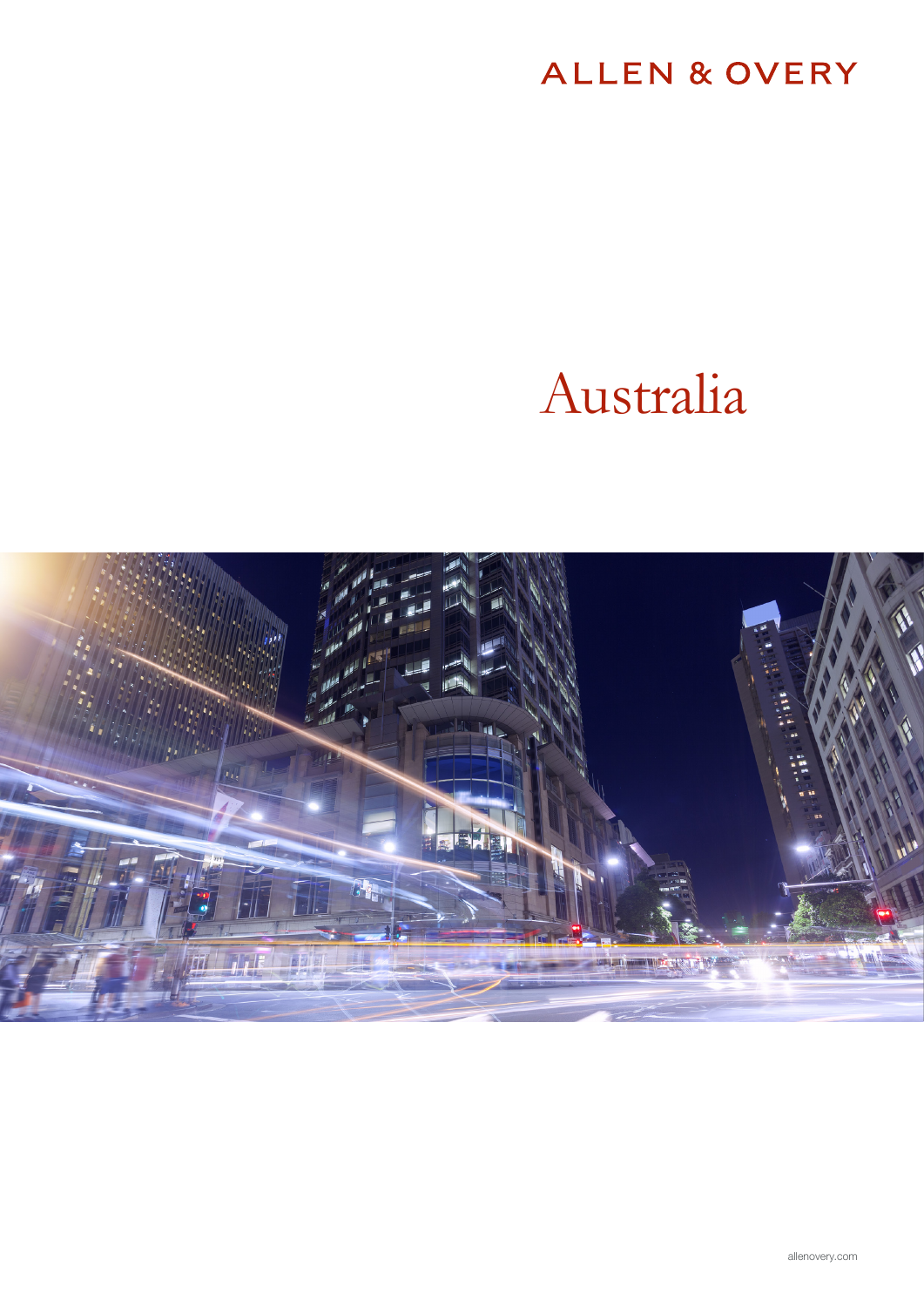## ALLEN & OVERY

# Australia

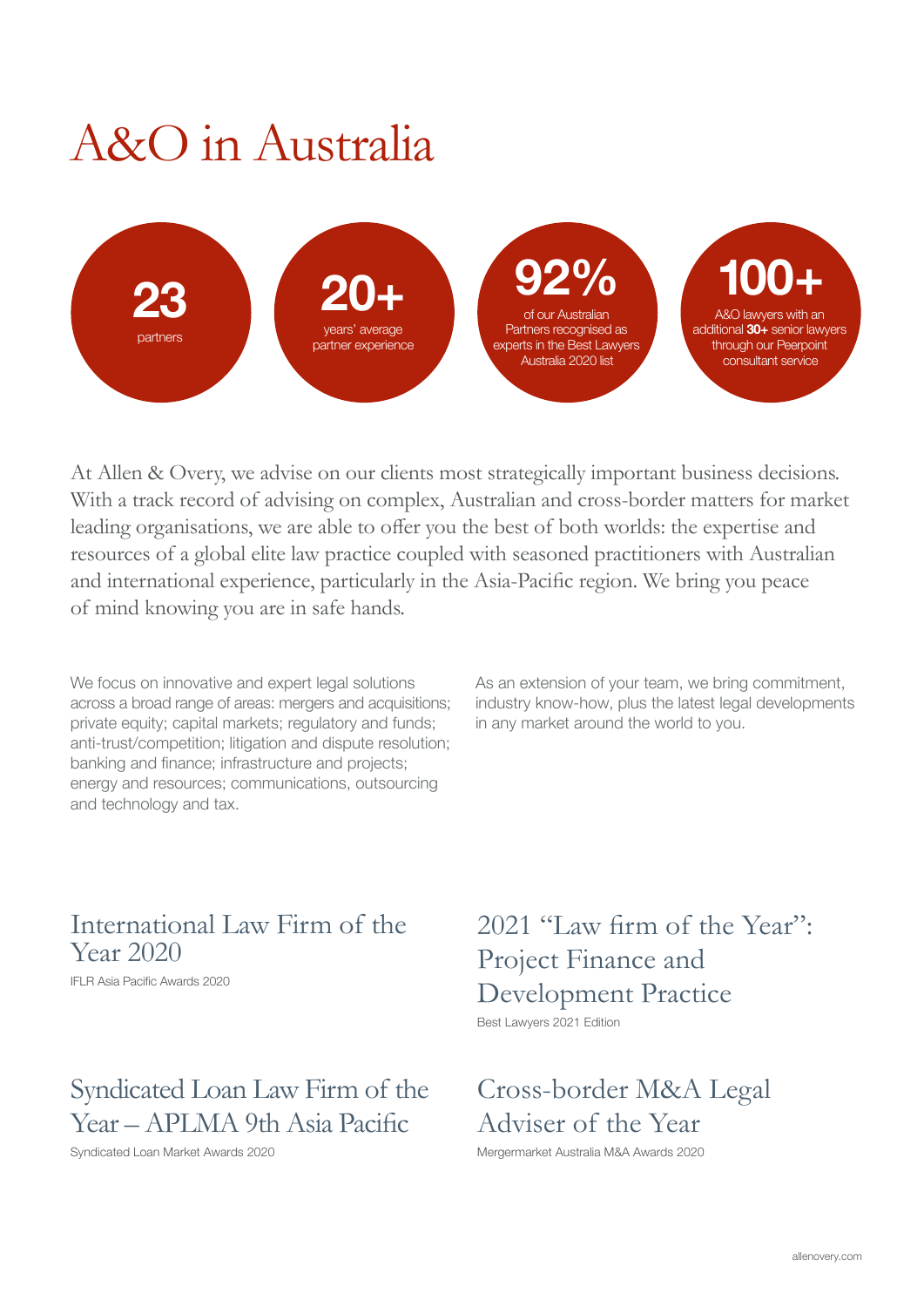## A&O in Australia



At Allen & Overy, we advise on our clients most strategically important business decisions. With a track record of advising on complex, Australian and cross-border matters for market leading organisations, we are able to offer you the best of both worlds: the expertise and resources of a global elite law practice coupled with seasoned practitioners with Australian and international experience, particularly in the Asia-Pacific region. We bring you peace of mind knowing you are in safe hands.

We focus on innovative and expert legal solutions across a broad range of areas: mergers and acquisitions; private equity; capital markets; regulatory and funds; anti-trust/competition; litigation and dispute resolution; banking and finance; infrastructure and projects; energy and resources; communications, outsourcing and technology and tax.

As an extension of your team, we bring commitment, industry know-how, plus the latest legal developments in any market around the world to you.

## International Law Firm of the Year 2020

IFLR Asia Pacific Awards 2020

## Syndicated Loan Law Firm of the Year – APLMA 9th Asia Pacific

Syndicated Loan Market Awards 2020

2021 "Law firm of the Year": Project Finance and Development Practice Best Lawyers 2021 Edition

Cross-border M&A Legal Adviser of the Year

Mergermarket Australia M&A Awards 2020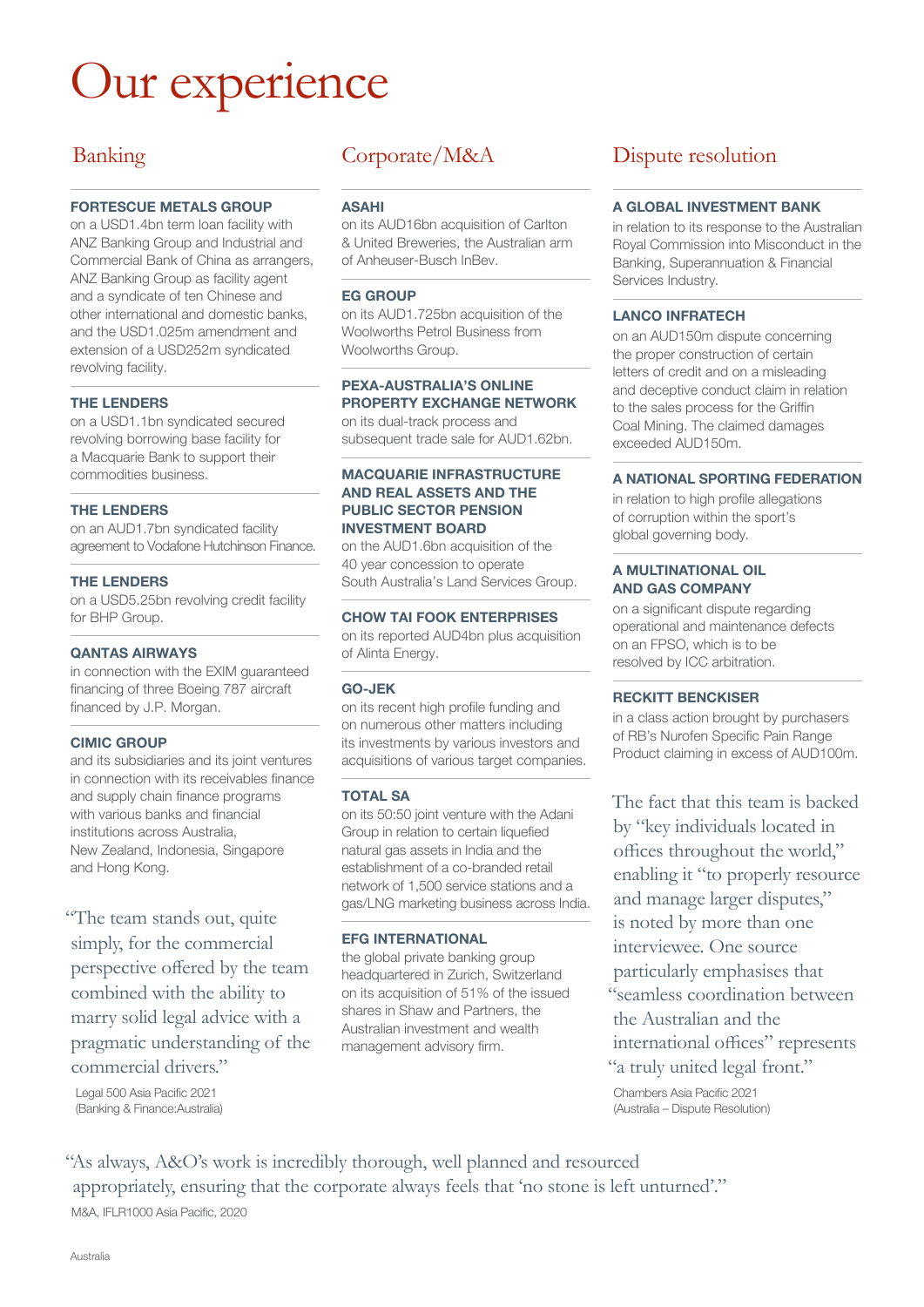## Our experience

### Banking

#### FORTESCUE METALS GROUP

on a USD1.4bn term loan facility with ANZ Banking Group and Industrial and Commercial Bank of China as arrangers, ANZ Banking Group as facility agent and a syndicate of ten Chinese and other international and domestic banks, and the USD1.025m amendment and extension of a USD252m syndicated revolving facility.

#### THE LENDERS

on a USD1.1bn syndicated secured revolving borrowing base facility for a Macquarie Bank to support their commodities business.

#### THE LENDERS

on an AUD1.7bn syndicated facility agreement to Vodafone Hutchinson Finance.

#### THE LENDERS

on a USD5.25bn revolving credit facility for BHP Group.

#### QANTAS AIRWAYS

in connection with the EXIM guaranteed financing of three Boeing 787 aircraft financed by J.P. Morgan.

#### CIMIC GROUP

and its subsidiaries and its joint ventures in connection with its receivables finance and supply chain finance programs with various banks and financial institutions across Australia, New Zealand, Indonesia, Singapore and Hong Kong.

"The team stands out, quite simply, for the commercial perspective offered by the team combined with the ability to marry solid legal advice with a pragmatic understanding of the commercial drivers."

Legal 500 Asia Pacific 2021 (Banking & Finance:Australia)

ASAHI

on its AUD16bn acquisition of Carlton & United Breweries, the Australian arm of Anheuser-Busch InBev.

#### EG GROUP

on its AUD1.725bn acquisition of the Woolworths Petrol Business from Woolworths Group.

#### PEXA-AUSTRALIA'S ONLINE PROPERTY EXCHANGE NETWORK

on its dual-track process and subsequent trade sale for AUD1.62bn.

#### MACQUARIE INFRASTRUCTURE AND REAL ASSETS AND THE PUBLIC SECTOR PENSION INVESTMENT BOARD

on the AUD1.6bn acquisition of the 40 year concession to operate South Australia's Land Services Group.

#### CHOW TAI FOOK ENTERPRISES

on its reported AUD4bn plus acquisition of Alinta Energy.

#### GO-JEK

on its recent high profile funding and on numerous other matters including its investments by various investors and acquisitions of various target companies.

#### TOTAL SA

on its 50:50 joint venture with the Adani Group in relation to certain liquefied natural gas assets in India and the establishment of a co-branded retail network of 1,500 service stations and a gas/LNG marketing business across India.

#### EFG INTERNATIONAL

the global private banking group headquartered in Zurich, Switzerland on its acquisition of 51% of the issued shares in Shaw and Partners, the Australian investment and wealth management advisory firm.

### Corporate/M&A Dispute resolution

#### A GLOBAL INVESTMENT BANK

in relation to its response to the Australian Royal Commission into Misconduct in the Banking, Superannuation & Financial Services Industry.

#### LANCO INFRATECH

on an AUD150m dispute concerning the proper construction of certain letters of credit and on a misleading and deceptive conduct claim in relation to the sales process for the Griffin Coal Mining. The claimed damages exceeded AUD150m.

#### A NATIONAL SPORTING FEDERATION

in relation to high profile allegations of corruption within the sport's global governing body.

#### A MULTINATIONAL OIL AND GAS COMPANY

on a significant dispute regarding operational and maintenance defects on an FPSO, which is to be resolved by ICC arbitration.

#### RECKITT BENCKISER

in a class action brought by purchasers of RB's Nurofen Specific Pain Range Product claiming in excess of AUD100m.

The fact that this team is backed by "key individuals located in offices throughout the world," enabling it "to properly resource and manage larger disputes," is noted by more than one interviewee. One source particularly emphasises that "seamless coordination between the Australian and the international offices" represents "a truly united legal front."

Chambers Asia Pacific 2021 (Australia – Dispute Resolution)

"As always, A&O's work is incredibly thorough, well planned and resourced appropriately, ensuring that the corporate always feels that 'no stone is left unturned'." M&A, IFLR1000 Asia Pacific, 2020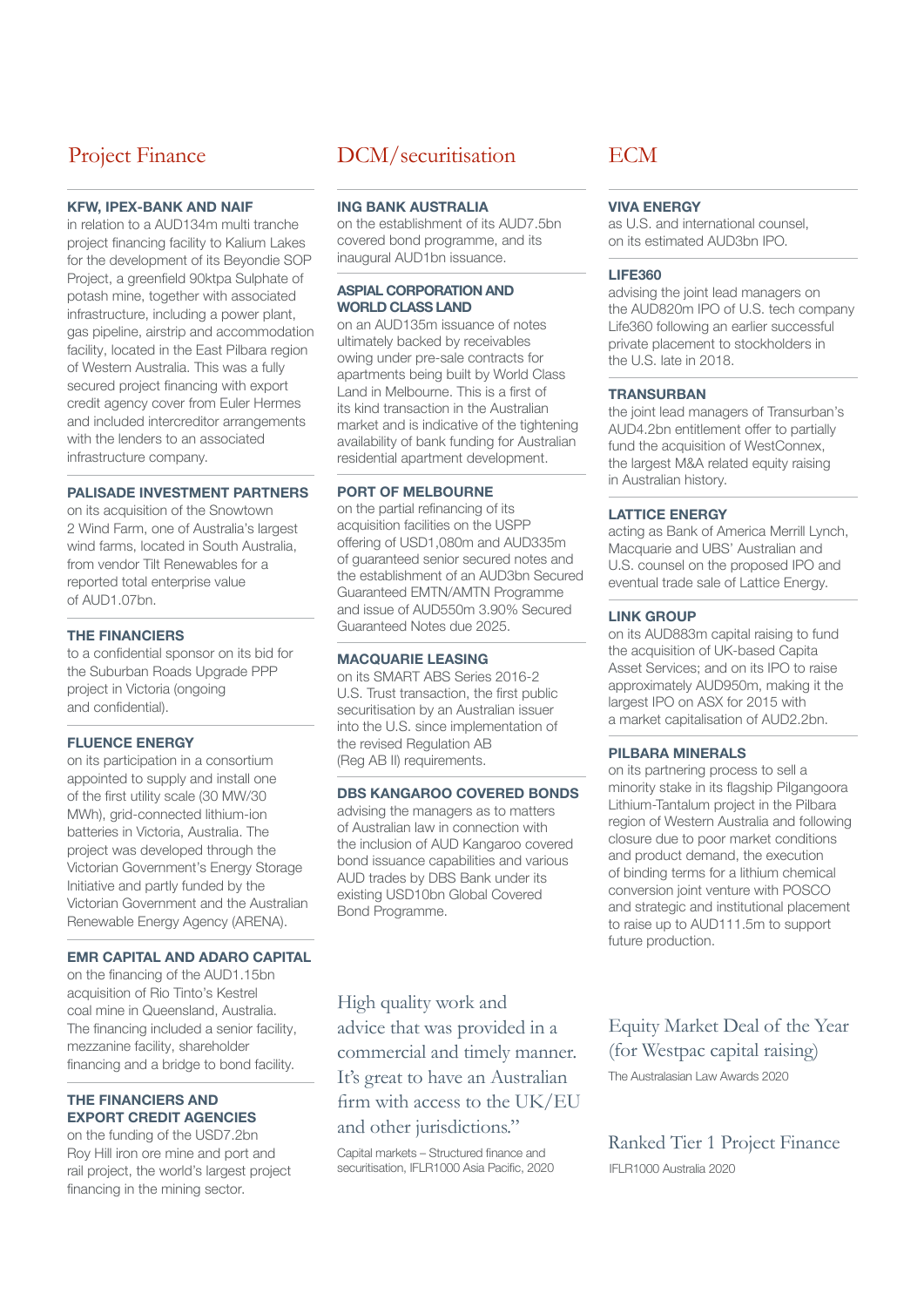### Project Finance

#### KFW, IPEX-BANK AND NAIF

in relation to a AUD134m multi tranche project financing facility to Kalium Lakes for the development of its Beyondie SOP Project, a greenfield 90ktpa Sulphate of potash mine, together with associated infrastructure, including a power plant, gas pipeline, airstrip and accommodation facility, located in the East Pilbara region of Western Australia. This was a fully secured project financing with export credit agency cover from Euler Hermes and included intercreditor arrangements with the lenders to an associated infrastructure company.

#### PALISADE INVESTMENT PARTNERS

on its acquisition of the Snowtown 2 Wind Farm, one of Australia's largest wind farms, located in South Australia, from vendor Tilt Renewables for a reported total enterprise value of AUD1.07bn.

#### THE FINANCIERS

to a confidential sponsor on its bid for the Suburban Roads Upgrade PPP project in Victoria (ongoing and confidential).

#### **FLUENCE ENERGY**

on its participation in a consortium appointed to supply and install one of the first utility scale (30 MW/30 MWh), grid-connected lithium-ion batteries in Victoria, Australia. The project was developed through the Victorian Government's Energy Storage Initiative and partly funded by the Victorian Government and the Australian Renewable Energy Agency (ARENA).

#### EMR CAPITAL AND ADARO CAPITAL

on the financing of the AUD1.15bn acquisition of Rio Tinto's Kestrel coal mine in Queensland, Australia. The financing included a senior facility, mezzanine facility, shareholder financing and a bridge to bond facility.

#### THE FINANCIERS AND EXPORT CREDIT AGENCIES

on the funding of the USD7.2bn Roy Hill iron ore mine and port and rail project, the world's largest project financing in the mining sector.

### DCM/securitisation

#### ING BANK AUSTRALIA

on the establishment of its AUD7.5bn covered bond programme, and its inaugural AUD1bn issuance.

#### ASPIAL CORPORATION AND WORLD CLASS LAND

on an AUD135m issuance of notes ultimately backed by receivables owing under pre-sale contracts for apartments being built by World Class Land in Melbourne. This is a first of its kind transaction in the Australian market and is indicative of the tightening availability of bank funding for Australian residential apartment development.

#### PORT OF MELBOURNE

on the partial refinancing of its acquisition facilities on the USPP offering of USD1,080m and AUD335m of guaranteed senior secured notes and the establishment of an AUD3bn Secured Guaranteed EMTN/AMTN Programme and issue of AUD550m 3.90% Secured Guaranteed Notes due 2025.

#### MACQUARIE LEASING

on its SMART ABS Series 2016-2 U.S. Trust transaction, the first public securitisation by an Australian issuer into the U.S. since implementation of the revised Regulation AB (Reg AB II) requirements.

#### DBS KANGAROO COVERED BONDS

advising the managers as to matters of Australian law in connection with the inclusion of AUD Kangaroo covered bond issuance capabilities and various AUD trades by DBS Bank under its existing USD10bn Global Covered Bond Programme.

High quality work and advice that was provided in a commercial and timely manner. It's great to have an Australian firm with access to the UK/EU and other jurisdictions."

Capital markets – Structured finance and securitisation, IFLR1000 Asia Pacific, 2020

#### **ECM**

#### VIVA ENERGY

as U.S. and international counsel, on its estimated AUD3bn IPO.

#### LIFE360

advising the joint lead managers on the AUD820m IPO of U.S. tech company Life360 following an earlier successful private placement to stockholders in the U.S. late in 2018.

#### **TRANSURBAN**

the joint lead managers of Transurban's AUD4.2bn entitlement offer to partially fund the acquisition of WestConnex, the largest M&A related equity raising in Australian history.

#### LATTICE ENERGY

acting as Bank of America Merrill Lynch, Macquarie and UBS' Australian and U.S. counsel on the proposed IPO and eventual trade sale of Lattice Energy.

#### LINK GROUP

on its AUD883m capital raising to fund the acquisition of UK-based Capita Asset Services; and on its IPO to raise approximately AUD950m, making it the largest IPO on ASX for 2015 with a market capitalisation of AUD2.2bn.

#### PILBARA MINERALS

on its partnering process to sell a minority stake in its flagship Pilgangoora Lithium-Tantalum project in the Pilbara region of Western Australia and following closure due to poor market conditions and product demand, the execution of binding terms for a lithium chemical conversion joint venture with POSCO and strategic and institutional placement to raise up to AUD111.5m to support future production.

Equity Market Deal of the Year (for Westpac capital raising)

The Australasian Law Awards 2020

Ranked Tier 1 Project Finance IFLR1000 Australia 2020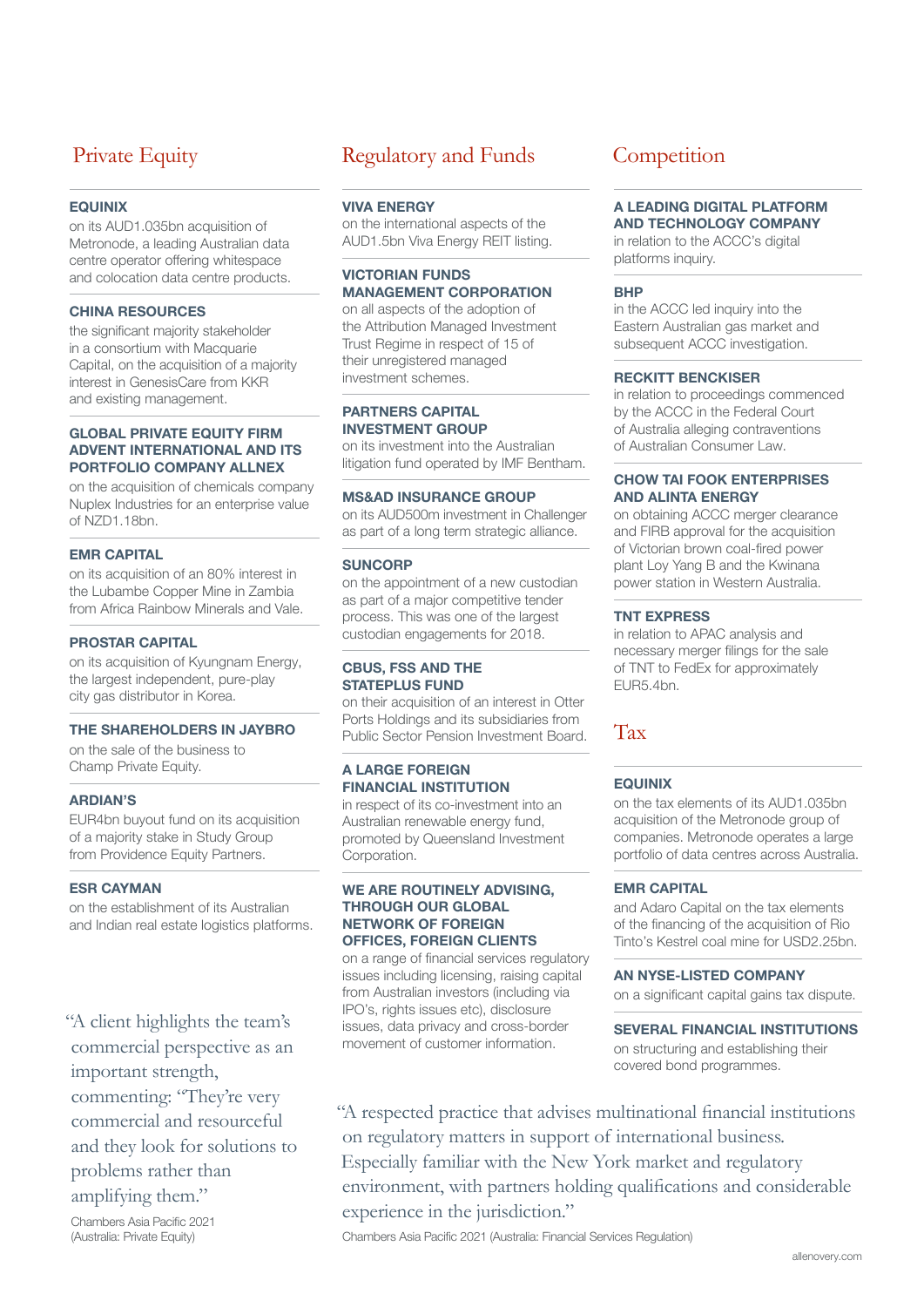### Private Equity

#### **EQUINIX**

on its AUD1.035bn acquisition of Metronode, a leading Australian data centre operator offering whitespace and colocation data centre products.

#### CHINA RESOURCES

the significant majority stakeholder in a consortium with Macquarie Capital, on the acquisition of a majority interest in GenesisCare from KKR and existing management.

#### GLOBAL PRIVATE EQUITY FIRM ADVENT INTERNATIONAL AND ITS PORTFOLIO COMPANY ALLNEX

on the acquisition of chemicals company Nuplex Industries for an enterprise value of NZD1.18bn.

#### EMR CAPITAL

on its acquisition of an 80% interest in the Lubambe Copper Mine in Zambia from Africa Rainbow Minerals and Vale.

#### PROSTAR CAPITAL

on its acquisition of Kyungnam Energy, the largest independent, pure-play city gas distributor in Korea.

#### THE SHAREHOLDERS IN JAYBRO

on the sale of the business to Champ Private Equity.

#### ARDIAN'S

EUR4bn buyout fund on its acquisition of a majority stake in Study Group from Providence Equity Partners.

#### ESR CAYMAN

on the establishment of its Australian and Indian real estate logistics platforms.

"A client highlights the team's commercial perspective as an important strength, commenting: "They're very commercial and resourceful and they look for solutions to problems rather than amplifying them."

Chambers Asia Pacific 2021 (Australia: Private Equity)

### Regulatory and Funds

#### VIVA ENERGY

on the international aspects of the AUD1.5bn Viva Energy REIT listing.

#### VICTORIAN FUNDS MANAGEMENT CORPORATION

on all aspects of the adoption of the Attribution Managed Investment Trust Regime in respect of 15 of their unregistered managed investment schemes.

#### PARTNERS CAPITAL INVESTMENT GROUP

on its investment into the Australian litigation fund operated by IMF Bentham.

#### MS&AD INSURANCE GROUP

on its AUD500m investment in Challenger as part of a long term strategic alliance.

#### **SUNCORP**

on the appointment of a new custodian as part of a major competitive tender process. This was one of the largest custodian engagements for 2018.

#### CBUS, FSS AND THE STATEPLUS FUND

on their acquisition of an interest in Otter Ports Holdings and its subsidiaries from Public Sector Pension Investment Board.

#### A LARGE FOREIGN FINANCIAL INSTITUTION

in respect of its co-investment into an Australian renewable energy fund, promoted by Queensland Investment Corporation.

#### WE ARE ROUTINELY ADVISING. THROUGH OUR GLOBAL NETWORK OF FOREIGN OFFICES, FOREIGN CLIENTS

on a range of financial services regulatory issues including licensing, raising capital from Australian investors (including via IPO's, rights issues etc), disclosure issues, data privacy and cross-border movement of customer information.

### **Competition**

#### A LEADING DIGITAL PLATFORM AND TECHNOLOGY COMPANY

in relation to the ACCC's digital platforms inquiry.

#### BHP

in the ACCC led inquiry into the Eastern Australian gas market and subsequent ACCC investigation.

#### RECKITT BENCKISER

in relation to proceedings commenced by the ACCC in the Federal Court of Australia alleging contraventions of Australian Consumer Law.

#### CHOW TAI FOOK ENTERPRISES AND ALINTA ENERGY

on obtaining ACCC merger clearance and FIRB approval for the acquisition of Victorian brown coal-fired power plant Loy Yang B and the Kwinana power station in Western Australia.

#### TNT EXPRESS

in relation to APAC analysis and necessary merger filings for the sale of TNT to FedEx for approximately EUR5.4bn.

#### Tax

#### EQUINIX

on the tax elements of its AUD1.035bn acquisition of the Metronode group of companies. Metronode operates a large portfolio of data centres across Australia.

#### EMR CAPITAL

and Adaro Capital on the tax elements of the financing of the acquisition of Rio Tinto's Kestrel coal mine for USD2.25bn.

AN NYSE-LISTED COMPANY

on a significant capital gains tax dispute.

#### SEVERAL FINANCIAL INSTITUTIONS on structuring and establishing their covered bond programmes.

"A respected practice that advises multinational financial institutions on regulatory matters in support of international business. Especially familiar with the New York market and regulatory environment, with partners holding qualifications and considerable experience in the jurisdiction."